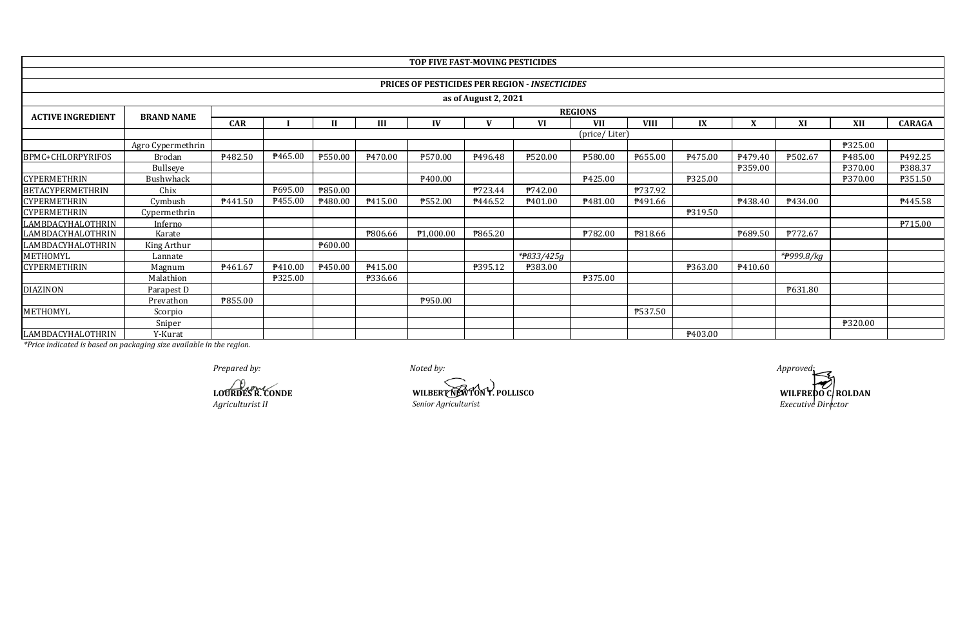|                          |                   |            |                     |         |                     | TOP FIVE FAST-MOVING PESTICIDES |         |                                                       |                |                |         |         |            |                |                |
|--------------------------|-------------------|------------|---------------------|---------|---------------------|---------------------------------|---------|-------------------------------------------------------|----------------|----------------|---------|---------|------------|----------------|----------------|
|                          |                   |            |                     |         |                     |                                 |         |                                                       |                |                |         |         |            |                |                |
|                          |                   |            |                     |         |                     |                                 |         | <b>PRICES OF PESTICIDES PER REGION - INSECTICIDES</b> |                |                |         |         |            |                |                |
| as of August 2, 2021     |                   |            |                     |         |                     |                                 |         |                                                       |                |                |         |         |            |                |                |
| <b>ACTIVE INGREDIENT</b> |                   |            |                     |         |                     |                                 |         |                                                       | <b>REGIONS</b> |                |         |         |            |                |                |
|                          | <b>BRAND NAME</b> | <b>CAR</b> |                     |         | III                 | IV                              |         | VI                                                    | <b>VII</b>     | <b>VIII</b>    | IX      | v       | XI         | XII            | <b>CARAGA</b>  |
|                          |                   |            |                     |         |                     |                                 |         |                                                       | (price/Liter)  |                |         |         |            |                |                |
|                          | Agro Cypermethrin |            |                     |         |                     |                                 |         |                                                       |                |                |         |         |            | <b>P325.00</b> |                |
| BPMC+CHLORPYRIFOS        | <b>Brodan</b>     | P482.50    | P465.00             | ₱550.00 | P <sub>470.00</sub> | ₱570.00                         | P496.48 | <b>P520.00</b>                                        | ₱580.00        | P655.00        | P475.00 | P479.40 | ₱502.67    | P485.00        | ₱492.25        |
|                          | Bullseye          |            |                     |         |                     |                                 |         |                                                       |                |                |         | ₱359.00 |            | ₱370.00        | ₱388.37        |
| <b>CYPERMETHRIN</b>      | Bushwhack         |            |                     |         |                     | P <sub>400.00</sub>             |         |                                                       | P425.00        |                | ₱325.00 |         |            | ₱370.00        | ₱351.50        |
| <b>BETACYPERMETHRIN</b>  | Chix              |            | P695.00             | ₱850.00 |                     |                                 | P723.44 | <b>P742.00</b>                                        |                | <b>P737.92</b> |         |         |            |                |                |
| <b>CYPERMETHRIN</b>      | Cymbush           | P441.50    | P455.00             | P480.00 | P415.00             | ₱552.00                         | P446.52 | P <sub>401.00</sub>                                   | P481.00        | P491.66        |         | P438.40 | P434.00    |                | P445.58        |
| <b>CYPERMETHRIN</b>      | Cypermethrin      |            |                     |         |                     |                                 |         |                                                       |                |                | P319.50 |         |            |                |                |
| LAMBDACYHALOTHRIN        | Inferno           |            |                     |         |                     |                                 |         |                                                       |                |                |         |         |            |                | <b>P715.00</b> |
| LAMBDACYHALOTHRIN        | Karate            |            |                     |         | ₱806.66             | P <sub>1</sub> ,000.00          | ₱865.20 |                                                       | ₱782.00        | <b>P818.66</b> |         | ₹689.50 | ₱772.67    |                |                |
| LAMBDACYHALOTHRIN        | King Arthur       |            |                     | ₱600.00 |                     |                                 |         |                                                       |                |                |         |         |            |                |                |
| METHOMYL                 | Lannate           |            |                     |         |                     |                                 |         | *#833/425g                                            |                |                |         |         | *#999.8/kg |                |                |
| <b>CYPERMETHRIN</b>      | Magnum            | P461.67    | P <sub>410.00</sub> | P450.00 | P415.00             |                                 | P395.12 | ₱383.00                                               |                |                | ₱363.00 | P410.60 |            |                |                |
|                          | Malathion         |            | <b>P325.00</b>      |         | ₱336.66             |                                 |         |                                                       | ₱375.00        |                |         |         |            |                |                |
| <b>DIAZINON</b>          | Parapest D        |            |                     |         |                     |                                 |         |                                                       |                |                |         |         | P631.80    |                |                |
|                          | Prevathon         | P855.00    |                     |         |                     | P950.00                         |         |                                                       |                |                |         |         |            |                |                |
| METHOMYL                 | Scorpio           |            |                     |         |                     |                                 |         |                                                       |                | <b>P537.50</b> |         |         |            |                |                |
|                          | Sniper            |            |                     |         |                     |                                 |         |                                                       |                |                |         |         |            | <b>P320.00</b> |                |
| LAMBDACYHALOTHRIN        | Y-Kurat           |            |                     |         |                     |                                 |         |                                                       |                |                | P403.00 |         |            |                |                |

*Prepared by: Noted by: Approved:*

**LOURDES R. CONDE**<br>Agriculturist II *Agriculturist II Senior Agriculturist Agriculturist II Senior Agriculturist*

WILFREDO C/ ROLDAN *Executive Director*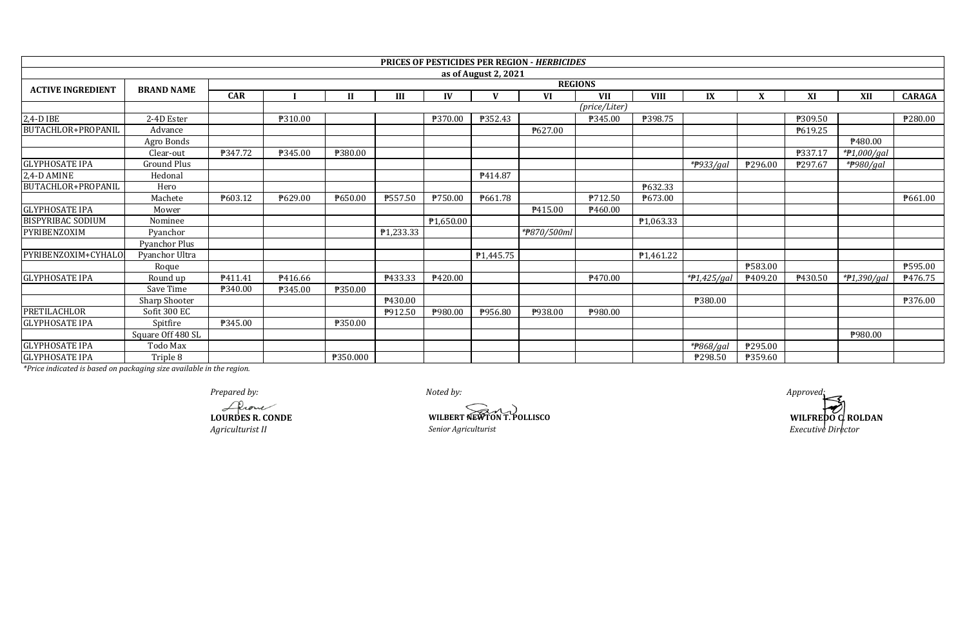|                          |                      |                |                |              |           |                       |                      | <b>PRICES OF PESTICIDES PER REGION - HERBICIDES</b> |                        |             |               |         |                     |             |                |
|--------------------------|----------------------|----------------|----------------|--------------|-----------|-----------------------|----------------------|-----------------------------------------------------|------------------------|-------------|---------------|---------|---------------------|-------------|----------------|
|                          |                      |                |                |              |           |                       | as of August 2, 2021 |                                                     |                        |             |               |         |                     |             |                |
|                          |                      | <b>REGIONS</b> |                |              |           |                       |                      |                                                     |                        |             |               |         |                     |             |                |
| <b>ACTIVE INGREDIENT</b> | <b>BRAND NAME</b>    | <b>CAR</b>     |                | $\mathbf{I}$ | Ш         | IV                    | V                    | VI                                                  | <b>VII</b>             | <b>VIII</b> | IX            | X       | XI                  | <b>XII</b>  | <b>CARAGA</b>  |
|                          |                      |                |                |              |           |                       |                      |                                                     | $(\text{price/Liter})$ |             |               |         |                     |             |                |
| 2,4-D IBE                | 2-4D Ester           |                | ₱310.00        |              |           | ₱370.00               | ₱352.43              |                                                     | ₱345.00                | ₱398.75     |               |         | ₱309.50             |             | ₱280.00        |
| BUTACHLOR+PROPANIL       | Advance              |                |                |              |           |                       |                      | ₱627.00                                             |                        |             |               |         | P619.25             |             |                |
|                          | Agro Bonds           |                |                |              |           |                       |                      |                                                     |                        |             |               |         |                     | P480.00     |                |
|                          | Clear-out            | P347.72        | ₱345.00        | ₱380.00      |           |                       |                      |                                                     |                        |             |               |         | P337.17             | *#1,000/gal |                |
| <b>GLYPHOSATE IPA</b>    | <b>Ground Plus</b>   |                |                |              |           |                       |                      |                                                     |                        |             | *#933/gal     | ₱296.00 | P297.67             | *#980/gal   |                |
| 2,4-D AMINE              | Hedonal              |                |                |              |           |                       | P414.87              |                                                     |                        |             |               |         |                     |             |                |
| BUTACHLOR+PROPANIL       | Hero                 |                |                |              |           |                       |                      |                                                     |                        | P632.33     |               |         |                     |             |                |
|                          | Machete              | P603.12        | ₱629.00        | ₱650.00      | ₱557.50   | ₱750.00               | P661.78              |                                                     | P712.50                | ₱673.00     |               |         |                     |             | P661.00        |
| <b>GLYPHOSATE IPA</b>    | Mower                |                |                |              |           |                       |                      | P415.00                                             | P460.00                |             |               |         |                     |             |                |
| <b>BISPYRIBAC SODIUM</b> | Nominee              |                |                |              |           | P <sub>1,650.00</sub> |                      |                                                     |                        | ₱1,063.33   |               |         |                     |             |                |
| PYRIBENZOXIM             | Pyanchor             |                |                |              | P1,233.33 |                       |                      | *#870/500ml                                         |                        |             |               |         |                     |             |                |
|                          | <b>Pyanchor Plus</b> |                |                |              |           |                       |                      |                                                     |                        |             |               |         |                     |             |                |
| PYRIBENZOXIM+CYHALO      | Pyanchor Ultra       |                |                |              |           |                       | P1,445.75            |                                                     |                        | P1,461.22   |               |         |                     |             |                |
|                          | Roque                |                |                |              |           |                       |                      |                                                     |                        |             |               | ₱583.00 |                     |             | ₱595.00        |
| <b>GLYPHOSATE IPA</b>    | Round up             | P411.41        | P416.66        |              | P433.33   | ₱420.00               |                      |                                                     | P470.00                |             | $*P1,425/gal$ | ₱409.20 | P <sub>430.50</sub> | *#1,390/gal | <b>₱476.75</b> |
|                          | Save Time            | P340.00        | <b>P345.00</b> | ₱350.00      |           |                       |                      |                                                     |                        |             |               |         |                     |             |                |
|                          | Sharp Shooter        |                |                |              | ₱430.00   |                       |                      |                                                     |                        |             | ₱380.00       |         |                     |             | ₱376.00        |
| <b>PRETILACHLOR</b>      | Sofit 300 EC         |                |                |              | P912.50   | ₱980.00               | P956.80              | P938.00                                             | <b>\980.00</b>         |             |               |         |                     |             |                |
| <b>GLYPHOSATE IPA</b>    | Spitfire             | <b>P345.00</b> |                | ₱350.00      |           |                       |                      |                                                     |                        |             |               |         |                     |             |                |
|                          | Square Off 480 SL    |                |                |              |           |                       |                      |                                                     |                        |             |               |         |                     | P980.00     |                |
| <b>GLYPHOSATE IPA</b>    | Todo Max             |                |                |              |           |                       |                      |                                                     |                        |             | *#868/gal     | ₱295.00 |                     |             |                |
| <b>GLYPHOSATE IPA</b>    | Triple 8             |                |                | ₱350.000     |           |                       |                      |                                                     |                        |             | P298.50       | P359.60 |                     |             |                |

*Prepared by:*<br> *Approved:*<br> *Prepared by:***<br>
<b>COURDES R. CONDE**<br> **WILERED: WILERED:** *WILERER NEWTON T. POLLISCO* **LOURDES R. CONDE WILBERT NEWTON T. POLLISCO**

**WILFREDO C. ROLDAN** *Agriculturist II Senior Agriculturist Executive Director*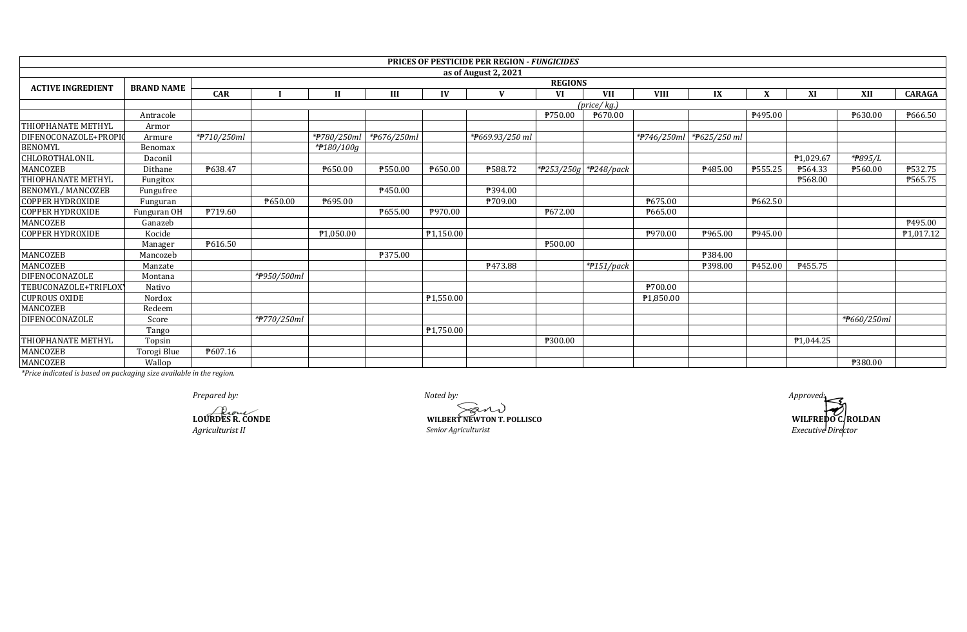|                          |                   |             |                                |             |             |                        | <b>PRICES OF PESTICIDE PER REGION - FUNGICIDES</b> |         |                       |             |                          |         |           |                      |                        |  |
|--------------------------|-------------------|-------------|--------------------------------|-------------|-------------|------------------------|----------------------------------------------------|---------|-----------------------|-------------|--------------------------|---------|-----------|----------------------|------------------------|--|
|                          |                   |             |                                |             |             |                        | as of August 2, 2021                               |         |                       |             |                          |         |           |                      |                        |  |
| <b>ACTIVE INGREDIENT</b> | <b>BRAND NAME</b> |             | <b>REGIONS</b>                 |             |             |                        |                                                    |         |                       |             |                          |         |           |                      |                        |  |
|                          |                   | <b>CAR</b>  |                                | Ш           | III         | IV                     |                                                    | VI      | <b>VII</b>            | <b>VIII</b> | IX                       |         | XI        | XII                  | <b>CARAGA</b>          |  |
|                          |                   |             |                                |             |             |                        |                                                    |         | (price/kg.)           |             |                          |         |           |                      |                        |  |
|                          | Antracole         |             |                                |             |             |                        |                                                    | P750.00 | ₱670.00               |             |                          | P495.00 |           | ₱630.00              | ₱666.50                |  |
| THIOPHANATE METHYL       | Armor             |             |                                |             |             |                        |                                                    |         |                       |             |                          |         |           |                      |                        |  |
| DIFENOCONAZOLE+PROPI     | Armure            | *#710/250ml |                                | *#780/250ml | *#676/250ml |                        | *#669.93/250 ml                                    |         |                       |             | *P746/250ml *P625/250 ml |         |           |                      |                        |  |
| <b>BENOMYL</b>           | Benomax           |             |                                | *#180/100g  |             |                        |                                                    |         |                       |             |                          |         |           |                      |                        |  |
| CHLOROTHALONIL           | Daconil           |             |                                |             |             |                        |                                                    |         |                       |             |                          |         | P1,029.67 | * <del>P</del> 895/L |                        |  |
| <b>MANCOZEB</b>          | Dithane           | P638.47     |                                | ₱650.00     | ₱550.00     | P650.00                | <b>P588.72</b>                                     |         | *#253/250g *#248/pack |             | ₱485.00                  | ₱555.25 | P564.33   | ₱560.00              | <b>₱532.75</b>         |  |
| THIOPHANATE METHYL       | Fungitox          |             |                                |             |             |                        |                                                    |         |                       |             |                          |         | P568.00   |                      | ₱565.75                |  |
| <b>BENOMYL/MANCOZEB</b>  | Fungufree         |             |                                |             | P450.00     |                        | P394.00                                            |         |                       |             |                          |         |           |                      |                        |  |
| <b>COPPER HYDROXIDE</b>  | Funguran          |             | ₱650.00                        | P695.00     |             |                        | ₱709.00                                            |         |                       | ₱675.00     |                          | P662.50 |           |                      |                        |  |
| <b>COPPER HYDROXIDE</b>  | Funguran OH       | P719.60     |                                |             | P655.00     | P970.00                |                                                    | ₱672.00 |                       | P665.00     |                          |         |           |                      |                        |  |
| <b>MANCOZEB</b>          | Ganazeb           |             |                                |             |             |                        |                                                    |         |                       |             |                          |         |           |                      | P495.00                |  |
| <b>COPPER HYDROXIDE</b>  | Kocide            |             |                                | ₱1,050.00   |             | P1,150.00              |                                                    |         |                       | ₱970.00     | P965.00                  | P945.00 |           |                      | P <sub>1</sub> ,017.12 |  |
|                          | Manager           | P616.50     |                                |             |             |                        |                                                    | ₱500.00 |                       |             |                          |         |           |                      |                        |  |
| MANCOZEB                 | Mancozeb          |             |                                |             | P375.00     |                        |                                                    |         |                       |             | ₱384.00                  |         |           |                      |                        |  |
| MANCOZEB                 | Manzate           |             |                                |             |             |                        | P473.88                                            |         | $*$ #151/pack         |             | ₱398.00                  | ₹452.00 | P455.75   |                      |                        |  |
| DIFENOCONAZOLE           | Montana           |             | $\sqrt{\frac{49}{9}}$ 50/500ml |             |             |                        |                                                    |         |                       |             |                          |         |           |                      |                        |  |
| TEBUCONAZOLE+TRIFLOX     | Nativo            |             |                                |             |             |                        |                                                    |         |                       | ₱700.00     |                          |         |           |                      |                        |  |
| <b>CUPROUS OXIDE</b>     | Nordox            |             |                                |             |             | P <sub>1</sub> ,550.00 |                                                    |         |                       | ₱1,850.00   |                          |         |           |                      |                        |  |
| MANCOZEB                 | Redeem            |             |                                |             |             |                        |                                                    |         |                       |             |                          |         |           |                      |                        |  |
| DIFENOCONAZOLE           | Score             |             | *#770/250ml                    |             |             |                        |                                                    |         |                       |             |                          |         |           | *P660/250ml          |                        |  |
|                          | Tango             |             |                                |             |             | P1,750.00              |                                                    |         |                       |             |                          |         |           |                      |                        |  |
| THIOPHANATE METHYL       | Topsin            |             |                                |             |             |                        |                                                    | ₱300.00 |                       |             |                          |         | P1,044.25 |                      |                        |  |
| MANCOZEB                 | Torogi Blue       | P607.16     |                                |             |             |                        |                                                    |         |                       |             |                          |         |           |                      |                        |  |
| <b>MANCOZEB</b>          | Wallop            |             |                                |             |             |                        |                                                    |         |                       |             |                          |         |           | ₱380.00              |                        |  |

**LOURDES R. CONDE**<br> **LOURDES R. CONDE**<br> *Agriculturist II* Senior Agriculturist Senior Agriculturist

*Prepared by: Noted by: Approved:*  $\widehat{\mathcal{R}}$ N)

**WILFREDO C. ROLDAN** *Agriculturist II Senior Agriculturist Executive Director*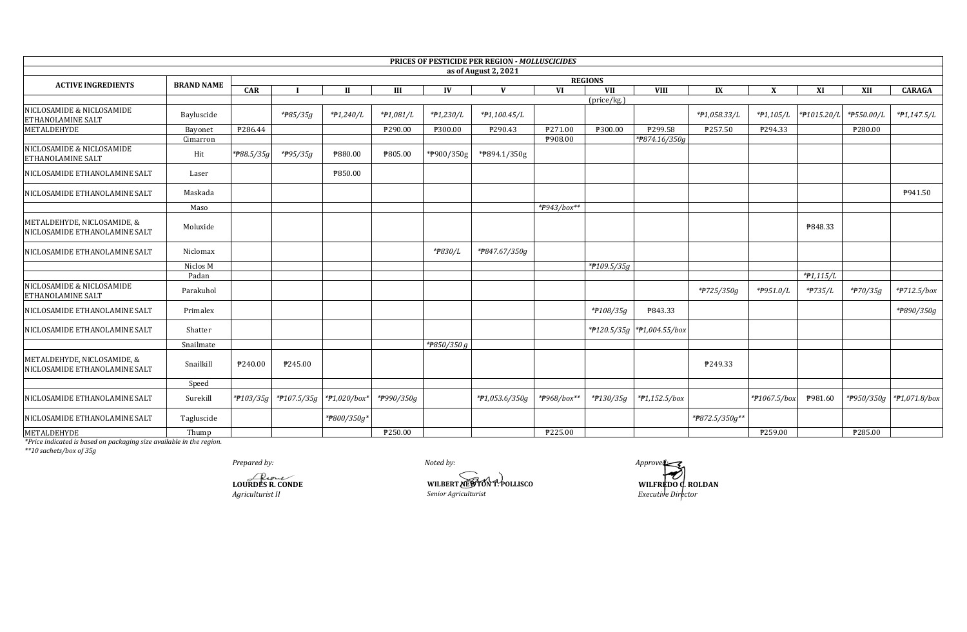|                                                              |                   |              |                       |                  |                |             | <b>PRICES OF PESTICIDE PER REGION - MOLLUSCICIDES</b> |             |                              |                            |                |              |             |            |                          |
|--------------------------------------------------------------|-------------------|--------------|-----------------------|------------------|----------------|-------------|-------------------------------------------------------|-------------|------------------------------|----------------------------|----------------|--------------|-------------|------------|--------------------------|
|                                                              |                   |              |                       |                  |                |             | as of August 2, 2021                                  |             |                              |                            |                |              |             |            |                          |
| <b>ACTIVE INGREDIENTS</b>                                    | <b>BRAND NAME</b> | CAR          |                       | П                | Ш              | IV          | V                                                     | <b>VI</b>   | <b>REGIONS</b><br><b>VII</b> | <b>VIII</b>                | IX             | X            | XI          | XII        | <b>CARAGA</b>            |
|                                                              |                   |              |                       |                  |                |             |                                                       |             | (price/kg.)                  |                            |                |              |             |            |                          |
| NICLOSAMIDE & NICLOSAMIDE<br>ETHANOLAMINE SALT               | Bayluscide        |              | * <del>P</del> 85/35g | *#1,240/L        | $*P1,081/L$    | *#1,230/L   | *#1,100.45/L                                          |             |                              |                            | *#1,058.33/L   | $*P1,105/L$  | *#1015.20/L | *#550.00/L | $*P1,147.5/L$            |
| METALDEHYDE                                                  | Bayonet           | P286.44      |                       |                  | P290.00        | ₱300.00     | P290.43                                               | P271.00     | ₱300.00                      | ₱299.58                    | ₱257.50        | P294.33      |             | ₱280.00    |                          |
|                                                              | Cimarron          |              |                       |                  |                |             |                                                       | P908.00     |                              | *P874.16/350g              |                |              |             |            |                          |
| NICLOSAMIDE & NICLOSAMIDE<br><b>ETHANOLAMINE SALT</b>        | Hit               | *P88.5/35g   | * <del>P</del> 95/35g | ₱880.00          | <b>P805.00</b> | *P900/350g  | *P894.1/350g                                          |             |                              |                            |                |              |             |            |                          |
| NICLOSAMIDE ETHANOLAMINE SALT                                | Laser             |              |                       | P850.00          |                |             |                                                       |             |                              |                            |                |              |             |            |                          |
| NICLOSAMIDE ETHANOLAMINE SALT                                | Maskada           |              |                       |                  |                |             |                                                       |             |                              |                            |                |              |             |            | P941.50                  |
|                                                              | Maso              |              |                       |                  |                |             |                                                       | *P943/box** |                              |                            |                |              |             |            |                          |
| METALDEHYDE, NICLOSAMIDE, &<br>NICLOSAMIDE ETHANOLAMINE SALT | Moluxide          |              |                       |                  |                |             |                                                       |             |                              |                            |                |              | P848.33     |            |                          |
| NICLOSAMIDE ETHANOLAMINE SALT                                | Niclomax          |              |                       |                  |                | *#830/L     | *#847.67/350g                                         |             |                              |                            |                |              |             |            |                          |
|                                                              | Niclos M          |              |                       |                  |                |             |                                                       |             | *#109.5/35g                  |                            |                |              |             |            |                          |
|                                                              | Padan             |              |                       |                  |                |             |                                                       |             |                              |                            |                |              | $*P1,115/L$ |            |                          |
| NICLOSAMIDE & NICLOSAMIDE<br>ETHANOLAMINE SALT               | Parakuhol         |              |                       |                  |                |             |                                                       |             |                              |                            | *#725/350g     | *#951.0/L    | *#735/L     | * $70/35q$ | $*$ $P712.5$ /box        |
| NICLOSAMIDE ETHANOLAMINE SALT                                | Primalex          |              |                       |                  |                |             |                                                       |             | *#108/35g                    | P843.33                    |                |              |             |            | *#890/350g               |
| NICLOSAMIDE ETHANOLAMINE SALT                                | Shatter           |              |                       |                  |                |             |                                                       |             |                              | *P120.5/35g *P1,004.55/box |                |              |             |            |                          |
|                                                              | Snailmate         |              |                       |                  |                | *P850/350 g |                                                       |             |                              |                            |                |              |             |            |                          |
| METALDEHYDE, NICLOSAMIDE, &<br>NICLOSAMIDE ETHANOLAMINE SALT | Snailkill         | ₱240.00      | P245.00               |                  |                |             |                                                       |             |                              |                            | P249.33        |              |             |            |                          |
|                                                              | Speed             |              |                       |                  |                |             |                                                       |             |                              |                            |                |              |             |            |                          |
| NICLOSAMIDE ETHANOLAMINE SALT                                | Surekill          | * $f103/35g$ | *#107.5/35g           | * $P1,020/b$ ox* | *#990/350g     |             | $*P1,053.6/350g$                                      | *#968/box** | *#130/35g                    | *#1,152.5/box              |                | *#1067.5/box | P981.60     |            | *P950/350g *P1,071.8/box |
| NICLOSAMIDE ETHANOLAMINE SALT                                | Tagluscide        |              |                       | *P800/350g*      |                |             |                                                       |             |                              |                            | *#872.5/350g** |              |             |            |                          |
| METALDEHYDE                                                  | Thump             |              |                       |                  | P250.00        |             |                                                       | ₱225.00     |                              |                            |                | ₱259.00      |             | ₱285.00    |                          |

\*Price indicated is based on packaging size available in the region.<br>\*\*10 sachets/box of 35g

Prepared by:

LOURDES R. CONDE Agriculturist II

Noted by:

WILBERT NEWTON T. POLLISCO Senior Agriculturist